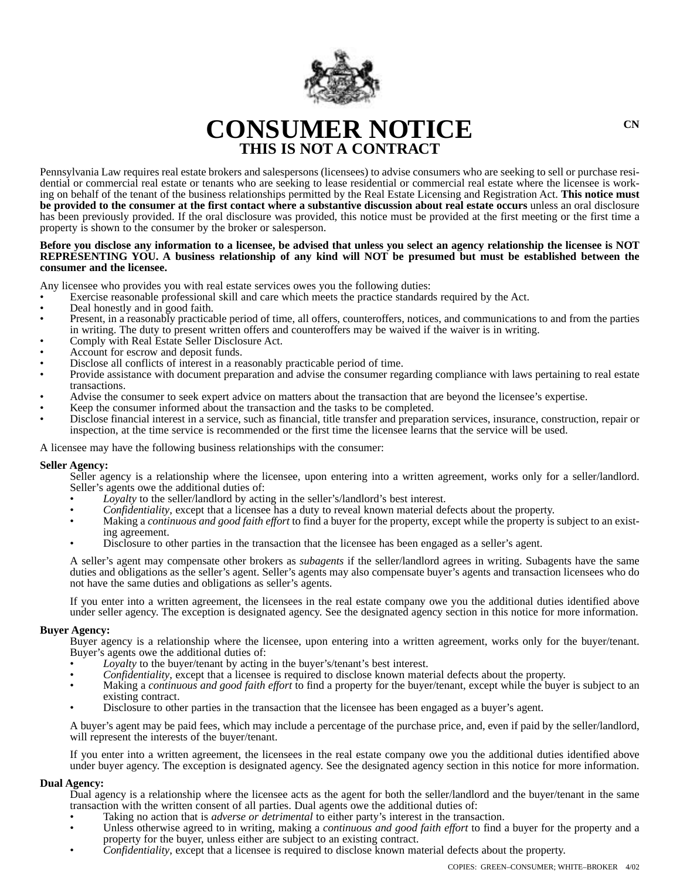

# **CONSUMER NOTICE**  $C_N$ **THIS IS NOT A CONTRACT**

Pennsylvania Law requires real estate brokers and salespersons (licensees) to advise consumers who are seeking to sell or purchase residential or commercial real estate or tenants who are seeking to lease residential or commercial real estate where the licensee is working on behalf of the tenant of the business relationships permitted by the Real Estate Licensing and Registration Act. **This notice must be provided to the consumer at the first contact where a substantive discussion about real estate occurs** unless an oral disclosure has been previously provided. If the oral disclosure was provided, this notice must be provided at the first meeting or the first time a property is shown to the consumer by the broker or salesperson.

#### **Before you disclose any information to a licensee, be advised that unless you select an agency relationship the licensee is NOT REPRESENTING YOU. A business relationship of any kind will NOT be presumed but must be established between the consumer and the licensee.**

Any licensee who provides you with real estate services owes you the following duties:

- Exercise reasonable professional skill and care which meets the practice standards required by the Act.
- Deal honestly and in good faith.
- Present, in a reasonably practicable period of time, all offers, counteroffers, notices, and communications to and from the parties in writing. The duty to present written offers and counteroffers may be waived if the waiver is in writing.
- Comply with Real Estate Seller Disclosure Act.
- Account for escrow and deposit funds.
- Disclose all conflicts of interest in a reasonably practicable period of time.
- Provide assistance with document preparation and advise the consumer regarding compliance with laws pertaining to real estate transactions.
- Advise the consumer to seek expert advice on matters about the transaction that are beyond the licensee's expertise.
- Keep the consumer informed about the transaction and the tasks to be completed.
- Disclose financial interest in a service, such as financial, title transfer and preparation services, insurance, construction, repair or inspection, at the time service is recommended or the first time the licensee learns that the service will be used.

A licensee may have the following business relationships with the consumer:

#### **Seller Agency:**

Seller agency is a relationship where the licensee, upon entering into a written agreement, works only for a seller/landlord. Seller's agents owe the additional duties of:

- *Loyalty* to the seller/landlord by acting in the seller's/landlord's best interest.
- *Confidentiality*, except that a licensee has a duty to reveal known material defects about the property.
- Making a *continuous and good faith effort* to find a buyer for the property, except while the property is subject to an existing agreement.
- Disclosure to other parties in the transaction that the licensee has been engaged as a seller's agent.

A seller's agent may compensate other brokers as *subagents* if the seller/landlord agrees in writing. Subagents have the same duties and obligations as the seller's agent. Seller's agents may also compensate buyer's agents and transaction licensees who do not have the same duties and obligations as seller's agents.

If you enter into a written agreement, the licensees in the real estate company owe you the additional duties identified above under seller agency. The exception is designated agency. See the designated agency section in this notice for more information.

## **Buyer Agency:**

Buyer agency is a relationship where the licensee, upon entering into a written agreement, works only for the buyer/tenant. Buyer's agents owe the additional duties of:<br>
Loyalty to the buyer/tenant by acting in the buyer's/tenant's best interest.

- 
- *Confidentiality*, except that a licensee is required to disclose known material defects about the property.
- Making a *continuous and good faith effort* to find a property for the buyer/tenant, except while the buyer is subject to an existing contract.
- Disclosure to other parties in the transaction that the licensee has been engaged as a buyer's agent.

A buyer's agent may be paid fees, which may include a percentage of the purchase price, and, even if paid by the seller/landlord, will represent the interests of the buyer/tenant.

If you enter into a written agreement, the licensees in the real estate company owe you the additional duties identified above under buyer agency. The exception is designated agency. See the designated agency section in this notice for more information.

## **Dual Agency:**

Dual agency is a relationship where the licensee acts as the agent for both the seller/landlord and the buyer/tenant in the same transaction with the written consent of all parties. Dual agents owe the additional duties of:

- Taking no action that is *adverse or detrimental* to either party's interest in the transaction.
- Unless otherwise agreed to in writing, making a *continuous and good faith effort* to find a buyer for the property and a property for the buyer, unless either are subject to an existing contract.
- *Confidentiality*, except that a licensee is required to disclose known material defects about the property.